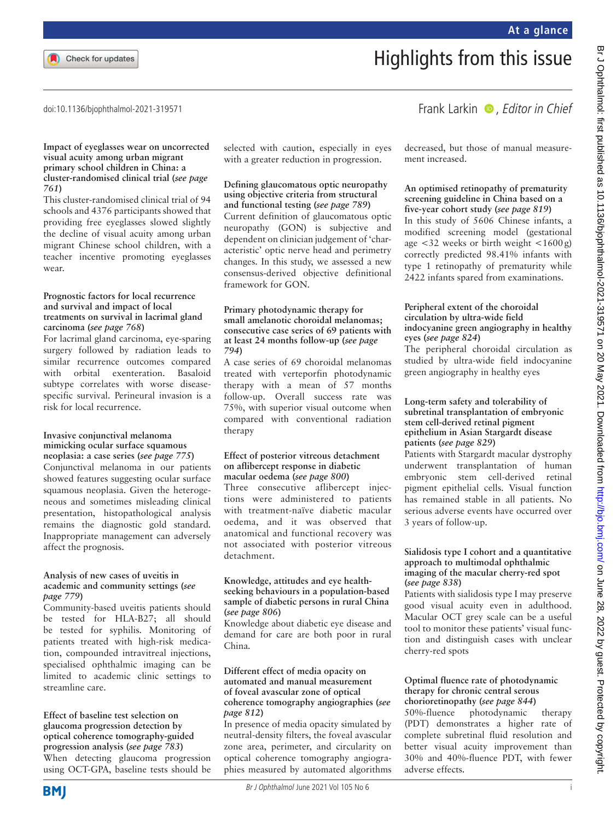### doi:10.1136/bjophthalmol-2021-319571

# Frank Larkin  $\bullet$ , Editor in Chief

#### **Impact of eyeglasses wear on uncorrected visual acuity among urban migrant primary school children in China: a cluster-randomised clinical trial (***see page 761***)**

This cluster-randomised clinical trial of 94 schools and 4376 participants showed that providing free eyeglasses slowed slightly the decline of visual acuity among urban migrant Chinese school children, with a teacher incentive promoting eyeglasses wear.

## **Prognostic factors for local recurrence and survival and impact of local treatments on survival in lacrimal gland carcinoma (***see page 768***)**

For lacrimal gland carcinoma, eye-sparing surgery followed by radiation leads to similar recurrence outcomes compared with orbital exenteration. Basaloid subtype correlates with worse diseasespecific survival. Perineural invasion is a risk for local recurrence.

#### **Invasive conjunctival melanoma mimicking ocular surface squamous neoplasia: a case series (***see page 775***)**

Conjunctival melanoma in our patients showed features suggesting ocular surface squamous neoplasia. Given the heterogeneous and sometimes misleading clinical presentation, histopathological analysis remains the diagnostic gold standard. Inappropriate management can adversely affect the prognosis.

## **Analysis of new cases of uveitis in academic and community settings (***see page 779***)**

Community-based uveitis patients should be tested for HLA-B27; all should be tested for syphilis. Monitoring of patients treated with high-risk medication, compounded intravitreal injections, specialised ophthalmic imaging can be limited to academic clinic settings to streamline care.

**Effect of baseline test selection on glaucoma progression detection by optical coherence tomography-guided progression analysis (***see page 783***)** When detecting glaucoma progression using OCT-GPA, baseline tests should be selected with caution, especially in eyes with a greater reduction in progression.

## **Defining glaucomatous optic neuropathy using objective criteria from structural and functional testing (***see page 789***)**

Current definition of glaucomatous optic neuropathy (GON) is subjective and dependent on clinician judgement of 'characteristic' optic nerve head and perimetry changes. In this study, we assessed a new consensus-derived objective definitional framework for GON.

### **Primary photodynamic therapy for small amelanotic choroidal melanomas; consecutive case series of 69 patients with at least 24 months follow-up (***see page 794***)**

A case series of 69 choroidal melanomas treated with verteporfin photodynamic therapy with a mean of 57 months follow-up. Overall success rate was 75%, with superior visual outcome when compared with conventional radiation therapy

### **Effect of posterior vitreous detachment on aflibercept response in diabetic macular oedema (***see page 800***)**

Three consecutive aflibercept injections were administered to patients with treatment-naïve diabetic macular oedema, and it was observed that anatomical and functional recovery was not associated with posterior vitreous detachment.

## **Knowledge, attitudes and eye healthseeking behaviours in a population-based sample of diabetic persons in rural China (***see page 806***)**

Knowledge about diabetic eye disease and demand for care are both poor in rural China.

## **Different effect of media opacity on automated and manual measurement of foveal avascular zone of optical coherence tomography angiographies (***see page 812***)**

In presence of media opacity simulated by neutral-density filters, the foveal avascular zone area, perimeter, and circularity on optical coherence tomography angiographies measured by automated algorithms decreased, but those of manual measurement increased.

Highlights from this issue

## **An optimised retinopathy of prematurity screening guideline in China based on a five-year cohort study (***see page 819***)**

In this study of 5606 Chinese infants, a modified screening model (gestational age  $\langle 32 \rangle$  weeks or birth weight  $\langle 1600 \rangle$ correctly predicted 98.41% infants with type 1 retinopathy of prematurity while 2422 infants spared from examinations.

## **Peripheral extent of the choroidal circulation by ultra-wide field indocyanine green angiography in healthy eyes (***see page 824***)**

The peripheral choroidal circulation as studied by ultra-wide field indocyanine green angiography in healthy eyes

## **Long-term safety and tolerability of subretinal transplantation of embryonic stem cell-derived retinal pigment epithelium in Asian Stargardt disease patients (***see page 829***)**

Patients with Stargardt macular dystrophy underwent transplantation of human embryonic stem cell-derived retinal pigment epithelial cells. Visual function has remained stable in all patients. No serious adverse events have occurred over 3 years of follow-up.

## **Sialidosis type I cohort and a quantitative approach to multimodal ophthalmic imaging of the macular cherry-red spot (***see page 838***)**

Patients with sialidosis type I may preserve good visual acuity even in adulthood. Macular OCT grey scale can be a useful tool to monitor these patients' visual function and distinguish cases with unclear cherry-red spots

# **Optimal fluence rate of photodynamic therapy for chronic central serous chorioretinopathy (***see page 844***)**

50%-fluence photodynamic therapy (PDT) demonstrates a higher rate of complete subretinal fluid resolution and better visual acuity improvement than 30% and 40%-fluence PDT, with fewer adverse effects.